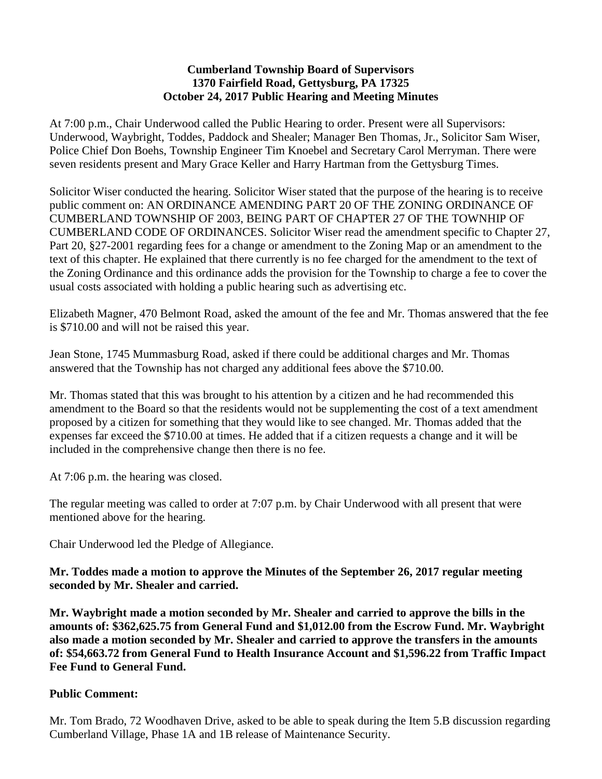#### **Cumberland Township Board of Supervisors 1370 Fairfield Road, Gettysburg, PA 17325 October 24, 2017 Public Hearing and Meeting Minutes**

At 7:00 p.m., Chair Underwood called the Public Hearing to order. Present were all Supervisors: Underwood, Waybright, Toddes, Paddock and Shealer; Manager Ben Thomas, Jr., Solicitor Sam Wiser, Police Chief Don Boehs, Township Engineer Tim Knoebel and Secretary Carol Merryman. There were seven residents present and Mary Grace Keller and Harry Hartman from the Gettysburg Times.

Solicitor Wiser conducted the hearing. Solicitor Wiser stated that the purpose of the hearing is to receive public comment on: AN ORDINANCE AMENDING PART 20 OF THE ZONING ORDINANCE OF CUMBERLAND TOWNSHIP OF 2003, BEING PART OF CHAPTER 27 OF THE TOWNHIP OF CUMBERLAND CODE OF ORDINANCES. Solicitor Wiser read the amendment specific to Chapter 27, Part 20, §27-2001 regarding fees for a change or amendment to the Zoning Map or an amendment to the text of this chapter. He explained that there currently is no fee charged for the amendment to the text of the Zoning Ordinance and this ordinance adds the provision for the Township to charge a fee to cover the usual costs associated with holding a public hearing such as advertising etc.

Elizabeth Magner, 470 Belmont Road, asked the amount of the fee and Mr. Thomas answered that the fee is \$710.00 and will not be raised this year.

Jean Stone, 1745 Mummasburg Road, asked if there could be additional charges and Mr. Thomas answered that the Township has not charged any additional fees above the \$710.00.

Mr. Thomas stated that this was brought to his attention by a citizen and he had recommended this amendment to the Board so that the residents would not be supplementing the cost of a text amendment proposed by a citizen for something that they would like to see changed. Mr. Thomas added that the expenses far exceed the \$710.00 at times. He added that if a citizen requests a change and it will be included in the comprehensive change then there is no fee.

At 7:06 p.m. the hearing was closed.

The regular meeting was called to order at 7:07 p.m. by Chair Underwood with all present that were mentioned above for the hearing.

Chair Underwood led the Pledge of Allegiance.

**Mr. Toddes made a motion to approve the Minutes of the September 26, 2017 regular meeting seconded by Mr. Shealer and carried.**

**Mr. Waybright made a motion seconded by Mr. Shealer and carried to approve the bills in the amounts of: \$362,625.75 from General Fund and \$1,012.00 from the Escrow Fund. Mr. Waybright also made a motion seconded by Mr. Shealer and carried to approve the transfers in the amounts of: \$54,663.72 from General Fund to Health Insurance Account and \$1,596.22 from Traffic Impact Fee Fund to General Fund.**

## **Public Comment:**

Mr. Tom Brado, 72 Woodhaven Drive, asked to be able to speak during the Item 5.B discussion regarding Cumberland Village, Phase 1A and 1B release of Maintenance Security.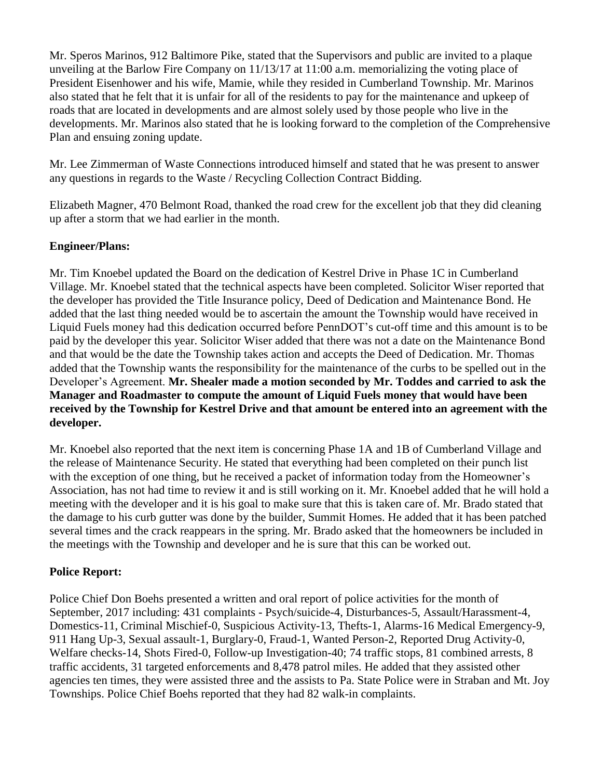Mr. Speros Marinos, 912 Baltimore Pike, stated that the Supervisors and public are invited to a plaque unveiling at the Barlow Fire Company on 11/13/17 at 11:00 a.m. memorializing the voting place of President Eisenhower and his wife, Mamie, while they resided in Cumberland Township. Mr. Marinos also stated that he felt that it is unfair for all of the residents to pay for the maintenance and upkeep of roads that are located in developments and are almost solely used by those people who live in the developments. Mr. Marinos also stated that he is looking forward to the completion of the Comprehensive Plan and ensuing zoning update.

Mr. Lee Zimmerman of Waste Connections introduced himself and stated that he was present to answer any questions in regards to the Waste / Recycling Collection Contract Bidding.

Elizabeth Magner, 470 Belmont Road, thanked the road crew for the excellent job that they did cleaning up after a storm that we had earlier in the month.

# **Engineer/Plans:**

Mr. Tim Knoebel updated the Board on the dedication of Kestrel Drive in Phase 1C in Cumberland Village. Mr. Knoebel stated that the technical aspects have been completed. Solicitor Wiser reported that the developer has provided the Title Insurance policy, Deed of Dedication and Maintenance Bond. He added that the last thing needed would be to ascertain the amount the Township would have received in Liquid Fuels money had this dedication occurred before PennDOT's cut-off time and this amount is to be paid by the developer this year. Solicitor Wiser added that there was not a date on the Maintenance Bond and that would be the date the Township takes action and accepts the Deed of Dedication. Mr. Thomas added that the Township wants the responsibility for the maintenance of the curbs to be spelled out in the Developer's Agreement. **Mr. Shealer made a motion seconded by Mr. Toddes and carried to ask the Manager and Roadmaster to compute the amount of Liquid Fuels money that would have been received by the Township for Kestrel Drive and that amount be entered into an agreement with the developer.** 

Mr. Knoebel also reported that the next item is concerning Phase 1A and 1B of Cumberland Village and the release of Maintenance Security. He stated that everything had been completed on their punch list with the exception of one thing, but he received a packet of information today from the Homeowner's Association, has not had time to review it and is still working on it. Mr. Knoebel added that he will hold a meeting with the developer and it is his goal to make sure that this is taken care of. Mr. Brado stated that the damage to his curb gutter was done by the builder, Summit Homes. He added that it has been patched several times and the crack reappears in the spring. Mr. Brado asked that the homeowners be included in the meetings with the Township and developer and he is sure that this can be worked out.

## **Police Report:**

Police Chief Don Boehs presented a written and oral report of police activities for the month of September, 2017 including: 431 complaints - Psych/suicide-4, Disturbances-5, Assault/Harassment-4, Domestics-11, Criminal Mischief-0, Suspicious Activity-13, Thefts-1, Alarms-16 Medical Emergency-9, 911 Hang Up-3, Sexual assault-1, Burglary-0, Fraud-1, Wanted Person-2, Reported Drug Activity-0, Welfare checks-14, Shots Fired-0, Follow-up Investigation-40; 74 traffic stops, 81 combined arrests, 8 traffic accidents, 31 targeted enforcements and 8,478 patrol miles. He added that they assisted other agencies ten times, they were assisted three and the assists to Pa. State Police were in Straban and Mt. Joy Townships. Police Chief Boehs reported that they had 82 walk-in complaints.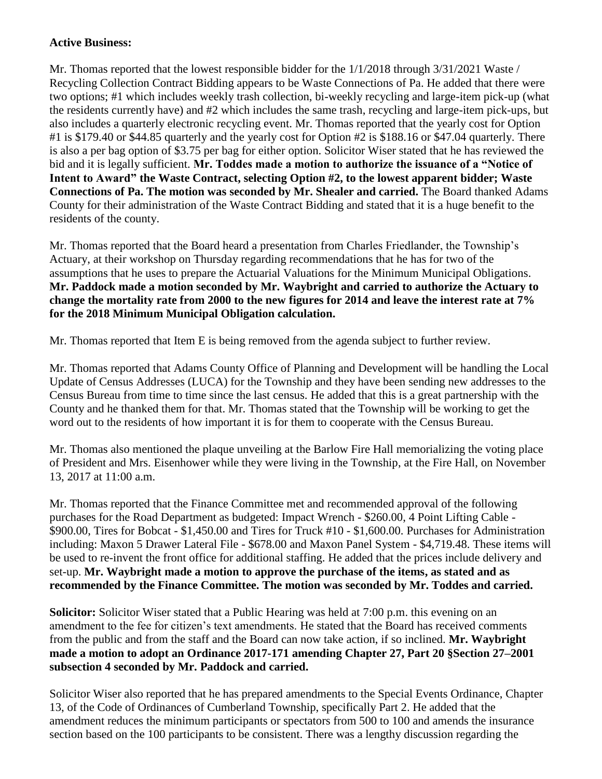## **Active Business:**

Mr. Thomas reported that the lowest responsible bidder for the  $1/1/2018$  through  $3/31/2021$  Waste / Recycling Collection Contract Bidding appears to be Waste Connections of Pa. He added that there were two options; #1 which includes weekly trash collection, bi-weekly recycling and large-item pick-up (what the residents currently have) and #2 which includes the same trash, recycling and large-item pick-ups, but also includes a quarterly electronic recycling event. Mr. Thomas reported that the yearly cost for Option #1 is \$179.40 or \$44.85 quarterly and the yearly cost for Option #2 is \$188.16 or \$47.04 quarterly. There is also a per bag option of \$3.75 per bag for either option. Solicitor Wiser stated that he has reviewed the bid and it is legally sufficient. **Mr. Toddes made a motion to authorize the issuance of a "Notice of Intent to Award" the Waste Contract, selecting Option #2, to the lowest apparent bidder; Waste Connections of Pa. The motion was seconded by Mr. Shealer and carried.** The Board thanked Adams County for their administration of the Waste Contract Bidding and stated that it is a huge benefit to the residents of the county.

Mr. Thomas reported that the Board heard a presentation from Charles Friedlander, the Township's Actuary, at their workshop on Thursday regarding recommendations that he has for two of the assumptions that he uses to prepare the Actuarial Valuations for the Minimum Municipal Obligations. **Mr. Paddock made a motion seconded by Mr. Waybright and carried to authorize the Actuary to change the mortality rate from 2000 to the new figures for 2014 and leave the interest rate at 7% for the 2018 Minimum Municipal Obligation calculation.**

Mr. Thomas reported that Item E is being removed from the agenda subject to further review.

Mr. Thomas reported that Adams County Office of Planning and Development will be handling the Local Update of Census Addresses (LUCA) for the Township and they have been sending new addresses to the Census Bureau from time to time since the last census. He added that this is a great partnership with the County and he thanked them for that. Mr. Thomas stated that the Township will be working to get the word out to the residents of how important it is for them to cooperate with the Census Bureau.

Mr. Thomas also mentioned the plaque unveiling at the Barlow Fire Hall memorializing the voting place of President and Mrs. Eisenhower while they were living in the Township, at the Fire Hall, on November 13, 2017 at 11:00 a.m.

Mr. Thomas reported that the Finance Committee met and recommended approval of the following purchases for the Road Department as budgeted: Impact Wrench - \$260.00, 4 Point Lifting Cable - \$900.00, Tires for Bobcat - \$1,450.00 and Tires for Truck #10 - \$1,600.00. Purchases for Administration including: Maxon 5 Drawer Lateral File - \$678.00 and Maxon Panel System - \$4,719.48. These items will be used to re-invent the front office for additional staffing. He added that the prices include delivery and set-up. **Mr. Waybright made a motion to approve the purchase of the items, as stated and as recommended by the Finance Committee. The motion was seconded by Mr. Toddes and carried.**

**Solicitor:** Solicitor Wiser stated that a Public Hearing was held at 7:00 p.m. this evening on an amendment to the fee for citizen's text amendments. He stated that the Board has received comments from the public and from the staff and the Board can now take action, if so inclined. **Mr. Waybright made a motion to adopt an Ordinance 2017-171 amending Chapter 27, Part 20 §Section 27–2001 subsection 4 seconded by Mr. Paddock and carried.**

Solicitor Wiser also reported that he has prepared amendments to the Special Events Ordinance, Chapter 13, of the Code of Ordinances of Cumberland Township, specifically Part 2. He added that the amendment reduces the minimum participants or spectators from 500 to 100 and amends the insurance section based on the 100 participants to be consistent. There was a lengthy discussion regarding the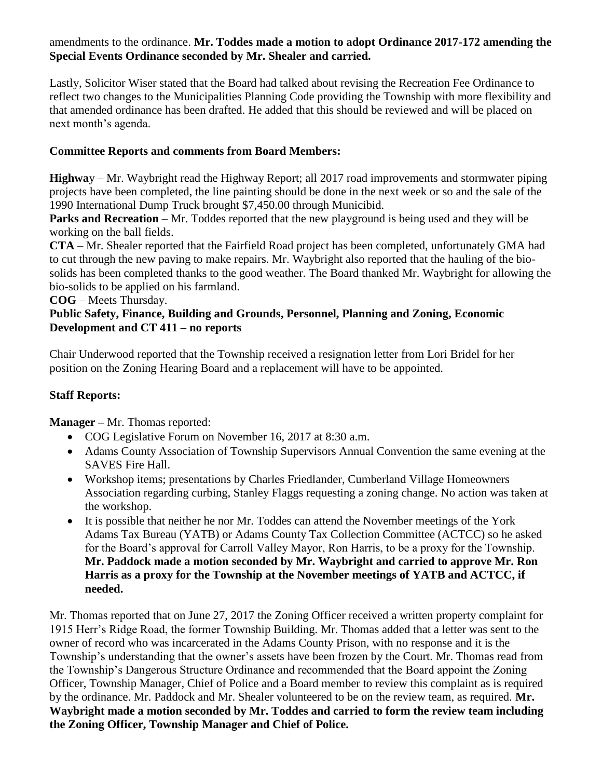## amendments to the ordinance. **Mr. Toddes made a motion to adopt Ordinance 2017-172 amending the Special Events Ordinance seconded by Mr. Shealer and carried.**

Lastly, Solicitor Wiser stated that the Board had talked about revising the Recreation Fee Ordinance to reflect two changes to the Municipalities Planning Code providing the Township with more flexibility and that amended ordinance has been drafted. He added that this should be reviewed and will be placed on next month's agenda.

# **Committee Reports and comments from Board Members:**

**Highwa**y – Mr. Waybright read the Highway Report; all 2017 road improvements and stormwater piping projects have been completed, the line painting should be done in the next week or so and the sale of the 1990 International Dump Truck brought \$7,450.00 through Municibid.

**Parks and Recreation** – Mr. Toddes reported that the new playground is being used and they will be working on the ball fields.

**CTA** – Mr. Shealer reported that the Fairfield Road project has been completed, unfortunately GMA had to cut through the new paving to make repairs. Mr. Waybright also reported that the hauling of the biosolids has been completed thanks to the good weather. The Board thanked Mr. Waybright for allowing the bio-solids to be applied on his farmland.

**COG** – Meets Thursday.

## **Public Safety, Finance, Building and Grounds, Personnel, Planning and Zoning, Economic Development and CT 411 – no reports**

Chair Underwood reported that the Township received a resignation letter from Lori Bridel for her position on the Zoning Hearing Board and a replacement will have to be appointed.

# **Staff Reports:**

**Manager –** Mr. Thomas reported:

- COG Legislative Forum on November 16, 2017 at 8:30 a.m.
- Adams County Association of Township Supervisors Annual Convention the same evening at the SAVES Fire Hall.
- Workshop items; presentations by Charles Friedlander, Cumberland Village Homeowners Association regarding curbing, Stanley Flaggs requesting a zoning change. No action was taken at the workshop.
- It is possible that neither he nor Mr. Toddes can attend the November meetings of the York Adams Tax Bureau (YATB) or Adams County Tax Collection Committee (ACTCC) so he asked for the Board's approval for Carroll Valley Mayor, Ron Harris, to be a proxy for the Township. **Mr. Paddock made a motion seconded by Mr. Waybright and carried to approve Mr. Ron Harris as a proxy for the Township at the November meetings of YATB and ACTCC, if needed.**

Mr. Thomas reported that on June 27, 2017 the Zoning Officer received a written property complaint for 1915 Herr's Ridge Road, the former Township Building. Mr. Thomas added that a letter was sent to the owner of record who was incarcerated in the Adams County Prison, with no response and it is the Township's understanding that the owner's assets have been frozen by the Court. Mr. Thomas read from the Township's Dangerous Structure Ordinance and recommended that the Board appoint the Zoning Officer, Township Manager, Chief of Police and a Board member to review this complaint as is required by the ordinance. Mr. Paddock and Mr. Shealer volunteered to be on the review team, as required. **Mr. Waybright made a motion seconded by Mr. Toddes and carried to form the review team including the Zoning Officer, Township Manager and Chief of Police.**